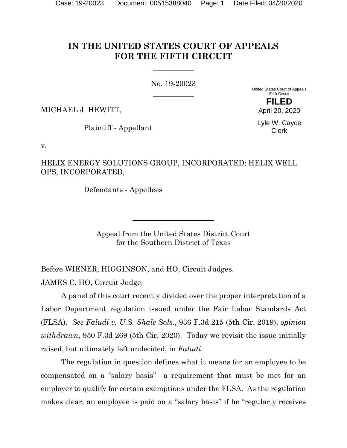# **IN THE UNITED STATES COURT OF APPEALS FOR THE FIFTH CIRCUIT**

No. 19-20023

United States Court of Appeals Fifth Circuit **FILED**

MICHAEL J. HEWITT,

Plaintiff - Appellant

Lyle W. Cayce Clerk

April 20, 2020

v.

HELIX ENERGY SOLUTIONS GROUP, INCORPORATED; HELIX WELL OPS, INCORPORATED,

Defendants - Appellees

Appeal from the United States District Court for the Southern District of Texas

Before WIENER, HIGGINSON, and HO, Circuit Judges.

JAMES C. HO, Circuit Judge:

A panel of this court recently divided over the proper interpretation of a Labor Department regulation issued under the Fair Labor Standards Act (FLSA). *See Faludi v. U.S. Shale Sols.*, 936 F.3d 215 (5th Cir. 2019), *opinion withdrawn*, 950 F.3d 269 (5th Cir. 2020). Today we revisit the issue initially raised, but ultimately left undecided, in *Faludi*.

The regulation in question defines what it means for an employee to be compensated on a "salary basis"—a requirement that must be met for an employer to qualify for certain exemptions under the FLSA. As the regulation makes clear, an employee is paid on a "salary basis" if he "regularly receives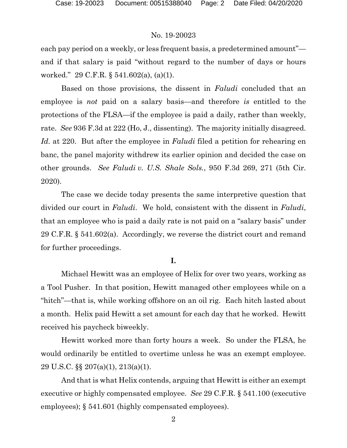each pay period on a weekly, or less frequent basis, a predetermined amount" and if that salary is paid "without regard to the number of days or hours worked." 29 C.F.R. § 541.602(a), (a)(1).

Based on those provisions, the dissent in *Faludi* concluded that an employee is *not* paid on a salary basis—and therefore *is* entitled to the protections of the FLSA—if the employee is paid a daily, rather than weekly, rate. *See* 936 F.3d at 222 (Ho, J., dissenting). The majority initially disagreed. *Id.* at 220. But after the employee in *Faludi* filed a petition for rehearing en banc, the panel majority withdrew its earlier opinion and decided the case on other grounds. *See Faludi v. U.S. Shale Sols.*, 950 F.3d 269, 271 (5th Cir. 2020).

The case we decide today presents the same interpretive question that divided our court in *Faludi*. We hold, consistent with the dissent in *Faludi*, that an employee who is paid a daily rate is not paid on a "salary basis" under 29 C.F.R. § 541.602(a). Accordingly, we reverse the district court and remand for further proceedings.

### **I.**

Michael Hewitt was an employee of Helix for over two years, working as a Tool Pusher. In that position, Hewitt managed other employees while on a "hitch"—that is, while working offshore on an oil rig. Each hitch lasted about a month. Helix paid Hewitt a set amount for each day that he worked. Hewitt received his paycheck biweekly.

Hewitt worked more than forty hours a week. So under the FLSA, he would ordinarily be entitled to overtime unless he was an exempt employee. 29 U.S.C. §§ 207(a)(1), 213(a)(1).

And that is what Helix contends, arguing that Hewitt is either an exempt executive or highly compensated employee. *See* 29 C.F.R. § 541.100 (executive employees); § 541.601 (highly compensated employees).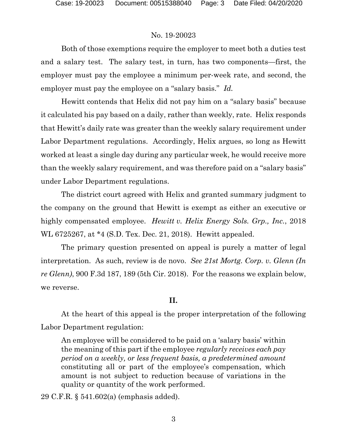Both of those exemptions require the employer to meet both a duties test and a salary test. The salary test, in turn, has two components—first, the employer must pay the employee a minimum per-week rate, and second, the employer must pay the employee on a "salary basis." *Id.*

Hewitt contends that Helix did not pay him on a "salary basis" because it calculated his pay based on a daily, rather than weekly, rate. Helix responds that Hewitt's daily rate was greater than the weekly salary requirement under Labor Department regulations. Accordingly, Helix argues, so long as Hewitt worked at least a single day during any particular week, he would receive more than the weekly salary requirement, and was therefore paid on a "salary basis" under Labor Department regulations.

The district court agreed with Helix and granted summary judgment to the company on the ground that Hewitt is exempt as either an executive or highly compensated employee. *Hewitt v. Helix Energy Sols. Grp., Inc.*, 2018 WL 6725267, at \*4 (S.D. Tex. Dec. 21, 2018). Hewitt appealed.

The primary question presented on appeal is purely a matter of legal interpretation. As such, review is de novo. *See 21st Mortg. Corp. v. Glenn (In re Glenn)*, 900 F.3d 187, 189 (5th Cir. 2018). For the reasons we explain below, we reverse.

#### **II.**

At the heart of this appeal is the proper interpretation of the following Labor Department regulation:

An employee will be considered to be paid on a 'salary basis' within the meaning of this part if the employee *regularly receives each pay period on a weekly, or less frequent basis, a predetermined amount* constituting all or part of the employee's compensation, which amount is not subject to reduction because of variations in the quality or quantity of the work performed.

29 C.F.R. § 541.602(a) (emphasis added).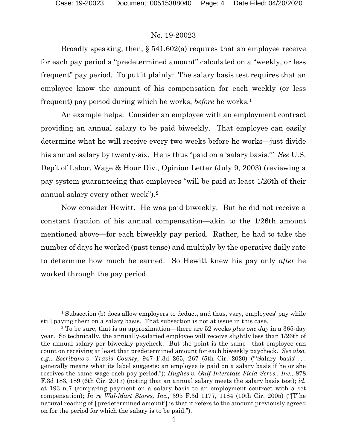Broadly speaking, then, § 541.602(a) requires that an employee receive for each pay period a "predetermined amount" calculated on a "weekly, or less frequent" pay period. To put it plainly: The salary basis test requires that an employee know the amount of his compensation for each weekly (or less frequent) pay period during which he works, *before* he works.[1](#page-3-0)

An example helps: Consider an employee with an employment contract providing an annual salary to be paid biweekly. That employee can easily determine what he will receive every two weeks before he works—just divide his annual salary by twenty-six. He is thus "paid on a 'salary basis.'" *See* U.S. Dep't of Labor, Wage & Hour Div., Opinion Letter (July 9, 2003) (reviewing a pay system guaranteeing that employees "will be paid at least 1/26th of their annual salary every other week").[2](#page-3-1)

Now consider Hewitt. He was paid biweekly. But he did not receive a constant fraction of his annual compensation—akin to the 1/26th amount mentioned above—for each biweekly pay period. Rather, he had to take the number of days he worked (past tense) and multiply by the operative daily rate to determine how much he earned. So Hewitt knew his pay only *after* he worked through the pay period.

<span id="page-3-0"></span><sup>&</sup>lt;sup>1</sup> Subsection (b) does allow employers to deduct, and thus, vary, employees' pay while still paying them on a salary basis. That subsection is not at issue in this case.

<span id="page-3-1"></span><sup>2</sup> To be sure, that is an approximation—there are 52 weeks *plus one day* in a 365-day year. So technically, the annually-salaried employee will receive slightly less than 1/26th of the annual salary per biweekly paycheck. But the point is the same—that employee can count on receiving at least that predetermined amount for each biweekly paycheck. *See also*, *e.g.*, *Escribano v. Travis County*, 947 F.3d 265, 267 (5th Cir. 2020) ("'Salary basis' . . . generally means what its label suggests: an employee is paid on a salary basis if he or she receives the same wage each pay period."); *Hughes v. Gulf Interstate Field Servs., Inc.*, 878 F.3d 183, 189 (6th Cir. 2017) (noting that an annual salary meets the salary basis test); *id.*  at 193 n.7 (comparing payment on a salary basis to an employment contract with a set compensation); *In re Wal-Mart Stores, Inc.*, 395 F.3d 1177, 1184 (10th Cir. 2005) ("[T]he natural reading of ['predetermined amount'] is that it refers to the amount previously agreed on for the period for which the salary is to be paid.").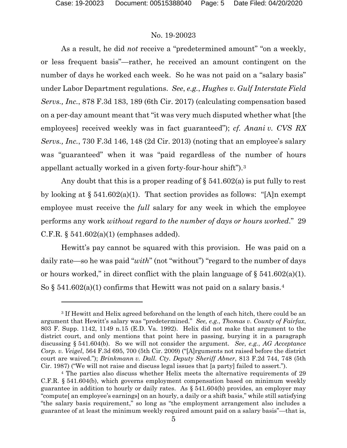As a result, he did *not* receive a "predetermined amount" "on a weekly, or less frequent basis"—rather, he received an amount contingent on the number of days he worked each week. So he was not paid on a "salary basis" under Labor Department regulations. *See*, *e.g.*, *Hughes v. Gulf Interstate Field Servs., Inc.*, 878 F.3d 183, 189 (6th Cir. 2017) (calculating compensation based on a per-day amount meant that "it was very much disputed whether what [the employees] received weekly was in fact guaranteed"); *cf. Anani v. CVS RX Servs., Inc.*, 730 F.3d 146, 148 (2d Cir. 2013) (noting that an employee's salary was "guaranteed" when it was "paid regardless of the number of hours appellant actually worked in a given forty-four-hour shift").[3](#page-4-0)

Any doubt that this is a proper reading of  $\S$  541.602(a) is put fully to rest by looking at  $\S 541.602(a)(1)$ . That section provides as follows: "[A]n exempt employee must receive the *full* salary for any week in which the employee performs any work *without regard to the number of days or hours worked*." 29 C.F.R.  $\S$  541.602(a)(1) (emphases added).

Hewitt's pay cannot be squared with this provision. He was paid on a daily rate—so he was paid "*with*" (not "without") "regard to the number of days or hours worked," in direct conflict with the plain language of  $\S 541.602(a)(1)$ . So  $\S$  5[4](#page-4-1)1.602(a)(1) confirms that Hewitt was not paid on a salary basis.<sup>4</sup>

<span id="page-4-0"></span><sup>3</sup> If Hewitt and Helix agreed beforehand on the length of each hitch, there could be an argument that Hewitt's salary was "predetermined." *See, e.g.*, *Thomas v. County of Fairfax*, 803 F. Supp. 1142, 1149 n.15 (E.D. Va. 1992). Helix did not make that argument to the district court, and only mentions that point here in passing, burying it in a paragraph discussing § 541.604(b). So we will not consider the argument. *See*, *e.g.*, *AG Acceptance Corp. v. Veigel*, 564 F.3d 695, 700 (5th Cir. 2009) ("[A]rguments not raised before the district court are waived."); *Brinkmann v. Dall. Cty. Deputy Sheriff Abner*, 813 F.2d 744, 748 (5th Cir. 1987) ("We will not raise and discuss legal issues that [a party] failed to assert.").

<span id="page-4-1"></span><sup>4</sup> The parties also discuss whether Helix meets the alternative requirements of 29 C.F.R. § 541.604(b), which governs employment compensation based on minimum weekly guarantee in addition to hourly or daily rates. As § 541.604(b) provides, an employer may "compute[ an employee's earnings] on an hourly, a daily or a shift basis," while still satisfying "the salary basis requirement," so long as "the employment arrangement also includes a guarantee of at least the minimum weekly required amount paid on a salary basis"—that is,